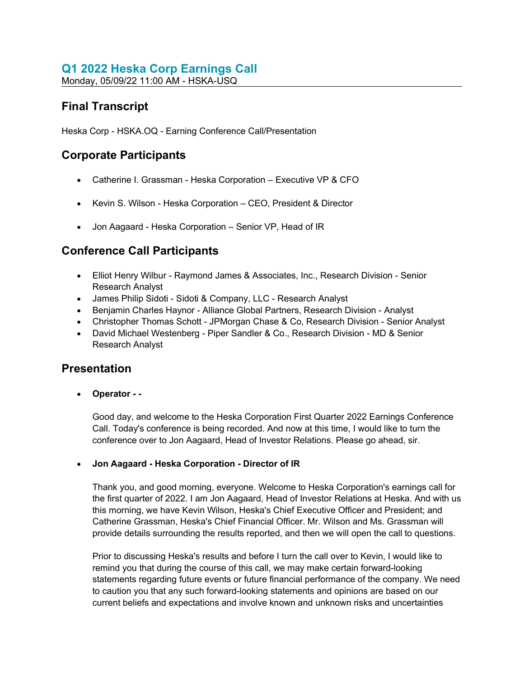# Q1 2022 Heska Corp Earnings Call

Monday, 05/09/22 11:00 AM - HSKA-USQ

# Final Transcript

Heska Corp - HSKA.OQ - Earning Conference Call/Presentation

## Corporate Participants

- Catherine I. Grassman Heska Corporation Executive VP & CFO
- Kevin S. Wilson Heska Corporation CEO, President & Director
- Jon Aagaard Heska Corporation Senior VP, Head of IR

## Conference Call Participants

- Elliot Henry Wilbur Raymond James & Associates, Inc., Research Division Senior Research Analyst
- James Philip Sidoti Sidoti & Company, LLC Research Analyst
- Benjamin Charles Haynor Alliance Global Partners, Research Division Analyst
- Christopher Thomas Schott JPMorgan Chase & Co, Research Division Senior Analyst
- David Michael Westenberg Piper Sandler & Co., Research Division MD & Senior Research Analyst

## Presentation

Operator - -

Good day, and welcome to the Heska Corporation First Quarter 2022 Earnings Conference Call. Today's conference is being recorded. And now at this time, I would like to turn the conference over to Jon Aagaard, Head of Investor Relations. Please go ahead, sir.

## Jon Aagaard - Heska Corporation - Director of IR

Thank you, and good morning, everyone. Welcome to Heska Corporation's earnings call for the first quarter of 2022. I am Jon Aagaard, Head of Investor Relations at Heska. And with us this morning, we have Kevin Wilson, Heska's Chief Executive Officer and President; and Catherine Grassman, Heska's Chief Financial Officer. Mr. Wilson and Ms. Grassman will provide details surrounding the results reported, and then we will open the call to questions.

Prior to discussing Heska's results and before I turn the call over to Kevin, I would like to remind you that during the course of this call, we may make certain forward-looking statements regarding future events or future financial performance of the company. We need to caution you that any such forward-looking statements and opinions are based on our current beliefs and expectations and involve known and unknown risks and uncertainties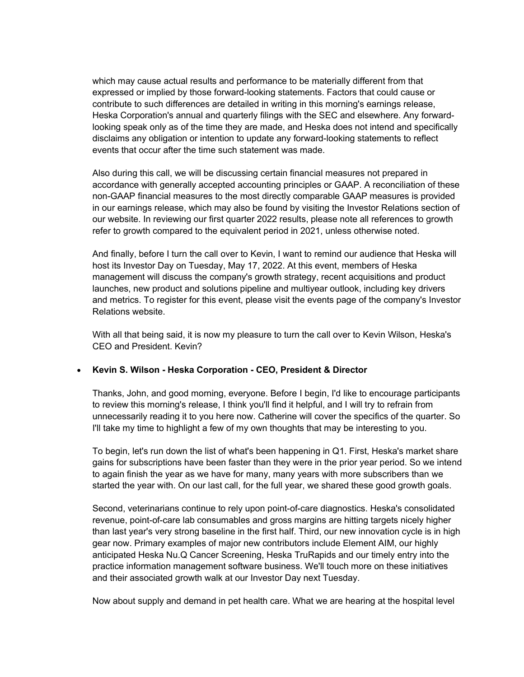which may cause actual results and performance to be materially different from that expressed or implied by those forward-looking statements. Factors that could cause or contribute to such differences are detailed in writing in this morning's earnings release, Heska Corporation's annual and quarterly filings with the SEC and elsewhere. Any forwardlooking speak only as of the time they are made, and Heska does not intend and specifically disclaims any obligation or intention to update any forward-looking statements to reflect events that occur after the time such statement was made.

Also during this call, we will be discussing certain financial measures not prepared in accordance with generally accepted accounting principles or GAAP. A reconciliation of these non-GAAP financial measures to the most directly comparable GAAP measures is provided in our earnings release, which may also be found by visiting the Investor Relations section of our website. In reviewing our first quarter 2022 results, please note all references to growth refer to growth compared to the equivalent period in 2021, unless otherwise noted.

And finally, before I turn the call over to Kevin, I want to remind our audience that Heska will host its Investor Day on Tuesday, May 17, 2022. At this event, members of Heska management will discuss the company's growth strategy, recent acquisitions and product launches, new product and solutions pipeline and multiyear outlook, including key drivers and metrics. To register for this event, please visit the events page of the company's Investor Relations website.

With all that being said, it is now my pleasure to turn the call over to Kevin Wilson, Heska's CEO and President. Kevin?

#### • Kevin S. Wilson - Heska Corporation - CEO, President & Director

Thanks, John, and good morning, everyone. Before I begin, I'd like to encourage participants to review this morning's release, I think you'll find it helpful, and I will try to refrain from unnecessarily reading it to you here now. Catherine will cover the specifics of the quarter. So I'll take my time to highlight a few of my own thoughts that may be interesting to you.

To begin, let's run down the list of what's been happening in Q1. First, Heska's market share gains for subscriptions have been faster than they were in the prior year period. So we intend to again finish the year as we have for many, many years with more subscribers than we started the year with. On our last call, for the full year, we shared these good growth goals.

Second, veterinarians continue to rely upon point-of-care diagnostics. Heska's consolidated revenue, point-of-care lab consumables and gross margins are hitting targets nicely higher than last year's very strong baseline in the first half. Third, our new innovation cycle is in high gear now. Primary examples of major new contributors include Element AIM, our highly anticipated Heska Nu.Q Cancer Screening, Heska TruRapids and our timely entry into the practice information management software business. We'll touch more on these initiatives and their associated growth walk at our Investor Day next Tuesday.

Now about supply and demand in pet health care. What we are hearing at the hospital level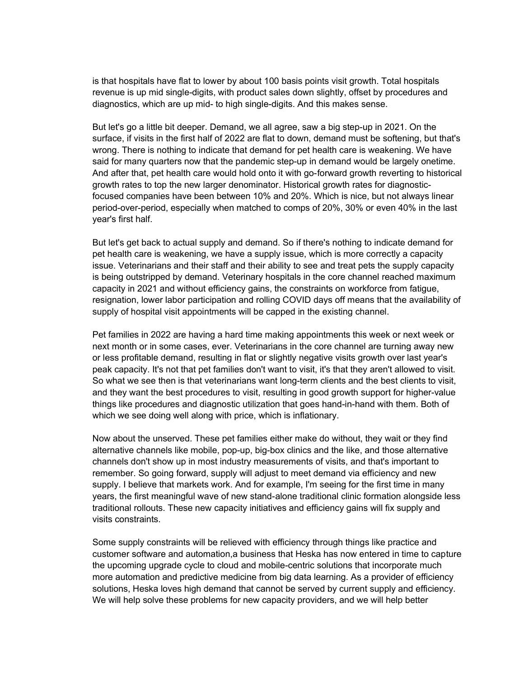is that hospitals have flat to lower by about 100 basis points visit growth. Total hospitals revenue is up mid single-digits, with product sales down slightly, offset by procedures and diagnostics, which are up mid- to high single-digits. And this makes sense.

But let's go a little bit deeper. Demand, we all agree, saw a big step-up in 2021. On the surface, if visits in the first half of 2022 are flat to down, demand must be softening, but that's wrong. There is nothing to indicate that demand for pet health care is weakening. We have said for many quarters now that the pandemic step-up in demand would be largely onetime. And after that, pet health care would hold onto it with go-forward growth reverting to historical growth rates to top the new larger denominator. Historical growth rates for diagnosticfocused companies have been between 10% and 20%. Which is nice, but not always linear period-over-period, especially when matched to comps of 20%, 30% or even 40% in the last year's first half.

But let's get back to actual supply and demand. So if there's nothing to indicate demand for pet health care is weakening, we have a supply issue, which is more correctly a capacity issue. Veterinarians and their staff and their ability to see and treat pets the supply capacity is being outstripped by demand. Veterinary hospitals in the core channel reached maximum capacity in 2021 and without efficiency gains, the constraints on workforce from fatigue, resignation, lower labor participation and rolling COVID days off means that the availability of supply of hospital visit appointments will be capped in the existing channel.

Pet families in 2022 are having a hard time making appointments this week or next week or next month or in some cases, ever. Veterinarians in the core channel are turning away new or less profitable demand, resulting in flat or slightly negative visits growth over last year's peak capacity. It's not that pet families don't want to visit, it's that they aren't allowed to visit. So what we see then is that veterinarians want long-term clients and the best clients to visit, and they want the best procedures to visit, resulting in good growth support for higher-value things like procedures and diagnostic utilization that goes hand-in-hand with them. Both of which we see doing well along with price, which is inflationary.

Now about the unserved. These pet families either make do without, they wait or they find alternative channels like mobile, pop-up, big-box clinics and the like, and those alternative channels don't show up in most industry measurements of visits, and that's important to remember. So going forward, supply will adjust to meet demand via efficiency and new supply. I believe that markets work. And for example, I'm seeing for the first time in many years, the first meaningful wave of new stand-alone traditional clinic formation alongside less traditional rollouts. These new capacity initiatives and efficiency gains will fix supply and visits constraints.

Some supply constraints will be relieved with efficiency through things like practice and customer software and automation,a business that Heska has now entered in time to capture the upcoming upgrade cycle to cloud and mobile-centric solutions that incorporate much more automation and predictive medicine from big data learning. As a provider of efficiency solutions, Heska loves high demand that cannot be served by current supply and efficiency. We will help solve these problems for new capacity providers, and we will help better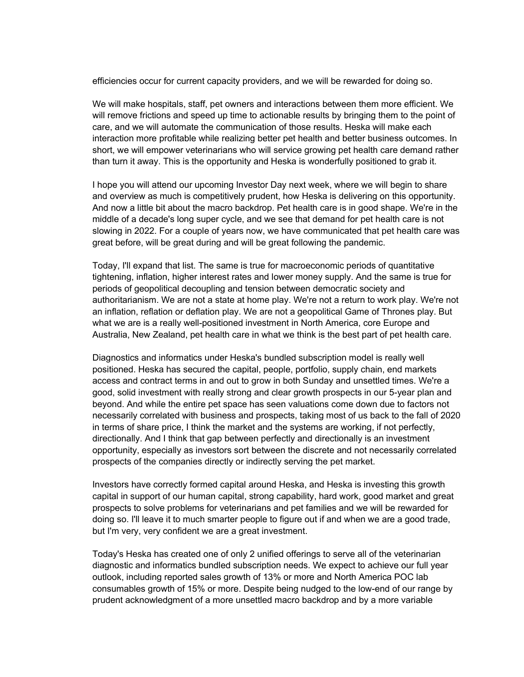efficiencies occur for current capacity providers, and we will be rewarded for doing so.

We will make hospitals, staff, pet owners and interactions between them more efficient. We will remove frictions and speed up time to actionable results by bringing them to the point of care, and we will automate the communication of those results. Heska will make each interaction more profitable while realizing better pet health and better business outcomes. In short, we will empower veterinarians who will service growing pet health care demand rather than turn it away. This is the opportunity and Heska is wonderfully positioned to grab it.

I hope you will attend our upcoming Investor Day next week, where we will begin to share and overview as much is competitively prudent, how Heska is delivering on this opportunity. And now a little bit about the macro backdrop. Pet health care is in good shape. We're in the middle of a decade's long super cycle, and we see that demand for pet health care is not slowing in 2022. For a couple of years now, we have communicated that pet health care was great before, will be great during and will be great following the pandemic.

Today, I'll expand that list. The same is true for macroeconomic periods of quantitative tightening, inflation, higher interest rates and lower money supply. And the same is true for periods of geopolitical decoupling and tension between democratic society and authoritarianism. We are not a state at home play. We're not a return to work play. We're not an inflation, reflation or deflation play. We are not a geopolitical Game of Thrones play. But what we are is a really well-positioned investment in North America, core Europe and Australia, New Zealand, pet health care in what we think is the best part of pet health care.

Diagnostics and informatics under Heska's bundled subscription model is really well positioned. Heska has secured the capital, people, portfolio, supply chain, end markets access and contract terms in and out to grow in both Sunday and unsettled times. We're a good, solid investment with really strong and clear growth prospects in our 5-year plan and beyond. And while the entire pet space has seen valuations come down due to factors not necessarily correlated with business and prospects, taking most of us back to the fall of 2020 in terms of share price, I think the market and the systems are working, if not perfectly, directionally. And I think that gap between perfectly and directionally is an investment opportunity, especially as investors sort between the discrete and not necessarily correlated prospects of the companies directly or indirectly serving the pet market.

Investors have correctly formed capital around Heska, and Heska is investing this growth capital in support of our human capital, strong capability, hard work, good market and great prospects to solve problems for veterinarians and pet families and we will be rewarded for doing so. I'll leave it to much smarter people to figure out if and when we are a good trade, but I'm very, very confident we are a great investment.

Today's Heska has created one of only 2 unified offerings to serve all of the veterinarian diagnostic and informatics bundled subscription needs. We expect to achieve our full year outlook, including reported sales growth of 13% or more and North America POC lab consumables growth of 15% or more. Despite being nudged to the low-end of our range by prudent acknowledgment of a more unsettled macro backdrop and by a more variable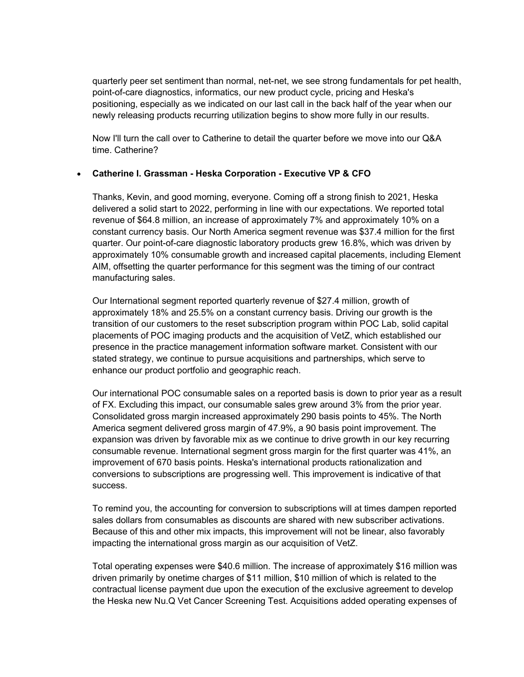quarterly peer set sentiment than normal, net-net, we see strong fundamentals for pet health, point-of-care diagnostics, informatics, our new product cycle, pricing and Heska's positioning, especially as we indicated on our last call in the back half of the year when our newly releasing products recurring utilization begins to show more fully in our results.

Now I'll turn the call over to Catherine to detail the quarter before we move into our Q&A time. Catherine?

#### Catherine I. Grassman - Heska Corporation - Executive VP & CFO

Thanks, Kevin, and good morning, everyone. Coming off a strong finish to 2021, Heska delivered a solid start to 2022, performing in line with our expectations. We reported total revenue of \$64.8 million, an increase of approximately 7% and approximately 10% on a constant currency basis. Our North America segment revenue was \$37.4 million for the first quarter. Our point-of-care diagnostic laboratory products grew 16.8%, which was driven by approximately 10% consumable growth and increased capital placements, including Element AIM, offsetting the quarter performance for this segment was the timing of our contract manufacturing sales.

Our International segment reported quarterly revenue of \$27.4 million, growth of approximately 18% and 25.5% on a constant currency basis. Driving our growth is the transition of our customers to the reset subscription program within POC Lab, solid capital placements of POC imaging products and the acquisition of VetZ, which established our presence in the practice management information software market. Consistent with our stated strategy, we continue to pursue acquisitions and partnerships, which serve to enhance our product portfolio and geographic reach.

Our international POC consumable sales on a reported basis is down to prior year as a result of FX. Excluding this impact, our consumable sales grew around 3% from the prior year. Consolidated gross margin increased approximately 290 basis points to 45%. The North America segment delivered gross margin of 47.9%, a 90 basis point improvement. The expansion was driven by favorable mix as we continue to drive growth in our key recurring consumable revenue. International segment gross margin for the first quarter was 41%, an improvement of 670 basis points. Heska's international products rationalization and conversions to subscriptions are progressing well. This improvement is indicative of that success.

To remind you, the accounting for conversion to subscriptions will at times dampen reported sales dollars from consumables as discounts are shared with new subscriber activations. Because of this and other mix impacts, this improvement will not be linear, also favorably impacting the international gross margin as our acquisition of VetZ.

Total operating expenses were \$40.6 million. The increase of approximately \$16 million was driven primarily by onetime charges of \$11 million, \$10 million of which is related to the contractual license payment due upon the execution of the exclusive agreement to develop the Heska new Nu.Q Vet Cancer Screening Test. Acquisitions added operating expenses of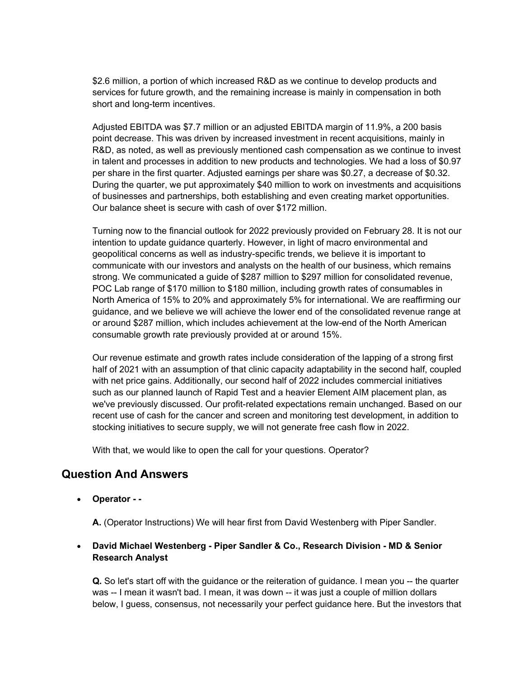\$2.6 million, a portion of which increased R&D as we continue to develop products and services for future growth, and the remaining increase is mainly in compensation in both short and long-term incentives.

Adjusted EBITDA was \$7.7 million or an adjusted EBITDA margin of 11.9%, a 200 basis point decrease. This was driven by increased investment in recent acquisitions, mainly in R&D, as noted, as well as previously mentioned cash compensation as we continue to invest in talent and processes in addition to new products and technologies. We had a loss of \$0.97 per share in the first quarter. Adjusted earnings per share was \$0.27, a decrease of \$0.32. During the quarter, we put approximately \$40 million to work on investments and acquisitions of businesses and partnerships, both establishing and even creating market opportunities. Our balance sheet is secure with cash of over \$172 million.

Turning now to the financial outlook for 2022 previously provided on February 28. It is not our intention to update guidance quarterly. However, in light of macro environmental and geopolitical concerns as well as industry-specific trends, we believe it is important to communicate with our investors and analysts on the health of our business, which remains strong. We communicated a guide of \$287 million to \$297 million for consolidated revenue, POC Lab range of \$170 million to \$180 million, including growth rates of consumables in North America of 15% to 20% and approximately 5% for international. We are reaffirming our guidance, and we believe we will achieve the lower end of the consolidated revenue range at or around \$287 million, which includes achievement at the low-end of the North American consumable growth rate previously provided at or around 15%.

Our revenue estimate and growth rates include consideration of the lapping of a strong first half of 2021 with an assumption of that clinic capacity adaptability in the second half, coupled with net price gains. Additionally, our second half of 2022 includes commercial initiatives such as our planned launch of Rapid Test and a heavier Element AIM placement plan, as we've previously discussed. Our profit-related expectations remain unchanged. Based on our recent use of cash for the cancer and screen and monitoring test development, in addition to stocking initiatives to secure supply, we will not generate free cash flow in 2022.

With that, we would like to open the call for your questions. Operator?

## Question And Answers

Operator - -

A. (Operator Instructions) We will hear first from David Westenberg with Piper Sandler.

#### David Michael Westenberg - Piper Sandler & Co., Research Division - MD & Senior Research Analyst

Q. So let's start off with the guidance or the reiteration of guidance. I mean you -- the quarter was -- I mean it wasn't bad. I mean, it was down -- it was just a couple of million dollars below, I guess, consensus, not necessarily your perfect guidance here. But the investors that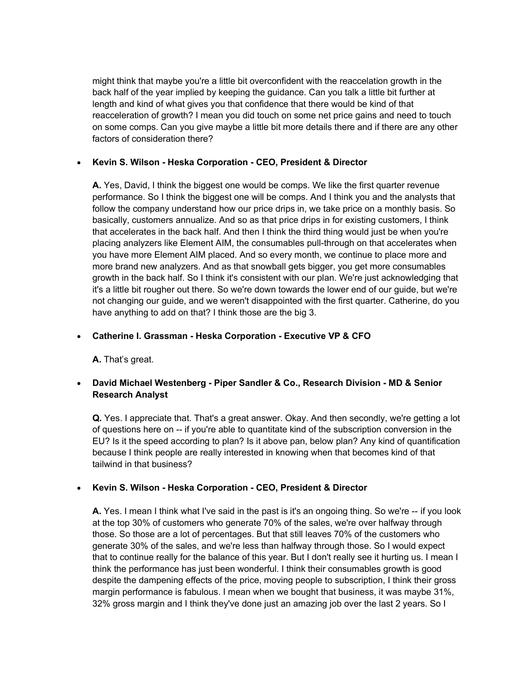might think that maybe you're a little bit overconfident with the reaccelation growth in the back half of the year implied by keeping the guidance. Can you talk a little bit further at length and kind of what gives you that confidence that there would be kind of that reacceleration of growth? I mean you did touch on some net price gains and need to touch on some comps. Can you give maybe a little bit more details there and if there are any other factors of consideration there?

#### • Kevin S. Wilson - Heska Corporation - CEO, President & Director

A. Yes, David, I think the biggest one would be comps. We like the first quarter revenue performance. So I think the biggest one will be comps. And I think you and the analysts that follow the company understand how our price drips in, we take price on a monthly basis. So basically, customers annualize. And so as that price drips in for existing customers, I think that accelerates in the back half. And then I think the third thing would just be when you're placing analyzers like Element AIM, the consumables pull-through on that accelerates when you have more Element AIM placed. And so every month, we continue to place more and more brand new analyzers. And as that snowball gets bigger, you get more consumables growth in the back half. So I think it's consistent with our plan. We're just acknowledging that it's a little bit rougher out there. So we're down towards the lower end of our guide, but we're not changing our guide, and we weren't disappointed with the first quarter. Catherine, do you have anything to add on that? I think those are the big 3.

#### Catherine I. Grassman - Heska Corporation - Executive VP & CFO

A. That's great.

## David Michael Westenberg - Piper Sandler & Co., Research Division - MD & Senior Research Analyst

Q. Yes. I appreciate that. That's a great answer. Okay. And then secondly, we're getting a lot of questions here on -- if you're able to quantitate kind of the subscription conversion in the EU? Is it the speed according to plan? Is it above pan, below plan? Any kind of quantification because I think people are really interested in knowing when that becomes kind of that tailwind in that business?

#### Kevin S. Wilson - Heska Corporation - CEO, President & Director

A. Yes. I mean I think what I've said in the past is it's an ongoing thing. So we're -- if you look at the top 30% of customers who generate 70% of the sales, we're over halfway through those. So those are a lot of percentages. But that still leaves 70% of the customers who generate 30% of the sales, and we're less than halfway through those. So I would expect that to continue really for the balance of this year. But I don't really see it hurting us. I mean I think the performance has just been wonderful. I think their consumables growth is good despite the dampening effects of the price, moving people to subscription, I think their gross margin performance is fabulous. I mean when we bought that business, it was maybe 31%, 32% gross margin and I think they've done just an amazing job over the last 2 years. So I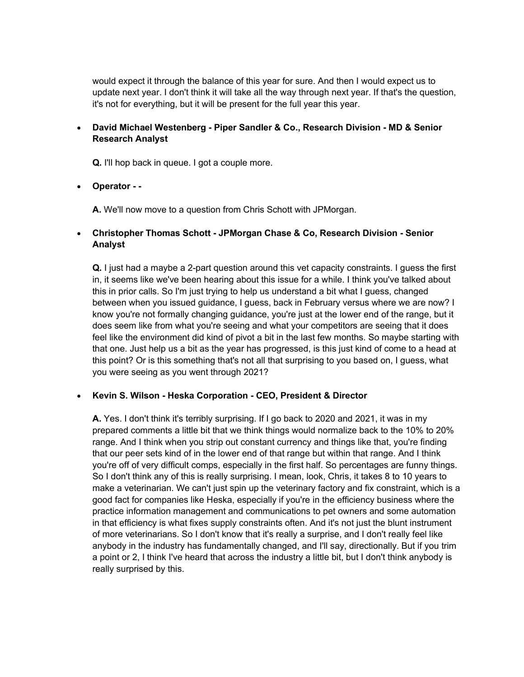would expect it through the balance of this year for sure. And then I would expect us to update next year. I don't think it will take all the way through next year. If that's the question, it's not for everything, but it will be present for the full year this year.

#### David Michael Westenberg - Piper Sandler & Co., Research Division - MD & Senior Research Analyst

Q. I'll hop back in queue. I got a couple more.

Operator - -

A. We'll now move to a question from Chris Schott with JPMorgan.

## Christopher Thomas Schott - JPMorgan Chase & Co, Research Division - Senior Analyst

Q. I just had a maybe a 2-part question around this vet capacity constraints. I guess the first in, it seems like we've been hearing about this issue for a while. I think you've talked about this in prior calls. So I'm just trying to help us understand a bit what I guess, changed between when you issued guidance, I guess, back in February versus where we are now? I know you're not formally changing guidance, you're just at the lower end of the range, but it does seem like from what you're seeing and what your competitors are seeing that it does feel like the environment did kind of pivot a bit in the last few months. So maybe starting with that one. Just help us a bit as the year has progressed, is this just kind of come to a head at this point? Or is this something that's not all that surprising to you based on, I guess, what you were seeing as you went through 2021?

#### Kevin S. Wilson - Heska Corporation - CEO, President & Director

A. Yes. I don't think it's terribly surprising. If I go back to 2020 and 2021, it was in my prepared comments a little bit that we think things would normalize back to the 10% to 20% range. And I think when you strip out constant currency and things like that, you're finding that our peer sets kind of in the lower end of that range but within that range. And I think you're off of very difficult comps, especially in the first half. So percentages are funny things. So I don't think any of this is really surprising. I mean, look, Chris, it takes 8 to 10 years to make a veterinarian. We can't just spin up the veterinary factory and fix constraint, which is a good fact for companies like Heska, especially if you're in the efficiency business where the practice information management and communications to pet owners and some automation in that efficiency is what fixes supply constraints often. And it's not just the blunt instrument of more veterinarians. So I don't know that it's really a surprise, and I don't really feel like anybody in the industry has fundamentally changed, and I'll say, directionally. But if you trim a point or 2, I think I've heard that across the industry a little bit, but I don't think anybody is really surprised by this.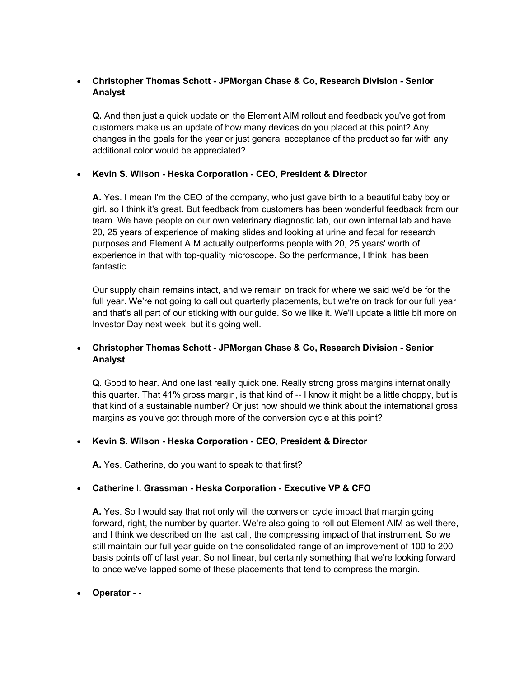## Christopher Thomas Schott - JPMorgan Chase & Co, Research Division - Senior Analyst

Q. And then just a quick update on the Element AIM rollout and feedback you've got from customers make us an update of how many devices do you placed at this point? Any changes in the goals for the year or just general acceptance of the product so far with any additional color would be appreciated?

## Kevin S. Wilson - Heska Corporation - CEO, President & Director

A. Yes. I mean I'm the CEO of the company, who just gave birth to a beautiful baby boy or girl, so I think it's great. But feedback from customers has been wonderful feedback from our team. We have people on our own veterinary diagnostic lab, our own internal lab and have 20, 25 years of experience of making slides and looking at urine and fecal for research purposes and Element AIM actually outperforms people with 20, 25 years' worth of experience in that with top-quality microscope. So the performance, I think, has been fantastic.

Our supply chain remains intact, and we remain on track for where we said we'd be for the full year. We're not going to call out quarterly placements, but we're on track for our full year and that's all part of our sticking with our guide. So we like it. We'll update a little bit more on Investor Day next week, but it's going well.

## Christopher Thomas Schott - JPMorgan Chase & Co, Research Division - Senior Analyst

Q. Good to hear. And one last really quick one. Really strong gross margins internationally this quarter. That 41% gross margin, is that kind of -- I know it might be a little choppy, but is that kind of a sustainable number? Or just how should we think about the international gross margins as you've got through more of the conversion cycle at this point?

## Kevin S. Wilson - Heska Corporation - CEO, President & Director

A. Yes. Catherine, do you want to speak to that first?

## Catherine I. Grassman - Heska Corporation - Executive VP & CFO

A. Yes. So I would say that not only will the conversion cycle impact that margin going forward, right, the number by quarter. We're also going to roll out Element AIM as well there, and I think we described on the last call, the compressing impact of that instrument. So we still maintain our full year guide on the consolidated range of an improvement of 100 to 200 basis points off of last year. So not linear, but certainly something that we're looking forward to once we've lapped some of these placements that tend to compress the margin.

Operator - -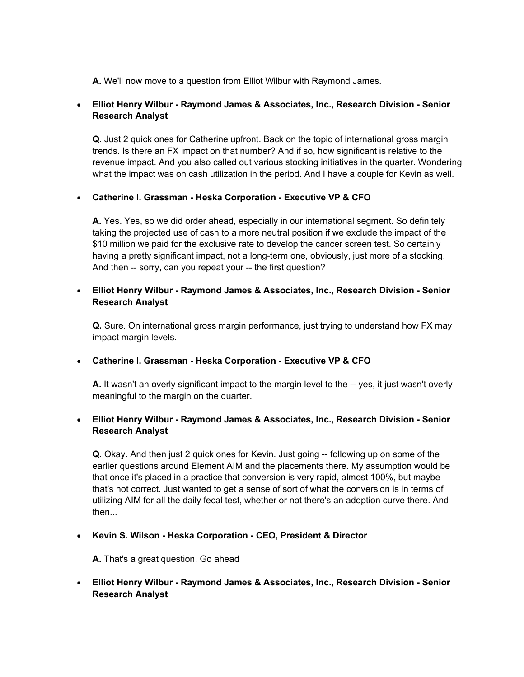A. We'll now move to a question from Elliot Wilbur with Raymond James.

## Elliot Henry Wilbur - Raymond James & Associates, Inc., Research Division - Senior Research Analyst

Q. Just 2 quick ones for Catherine upfront. Back on the topic of international gross margin trends. Is there an FX impact on that number? And if so, how significant is relative to the revenue impact. And you also called out various stocking initiatives in the quarter. Wondering what the impact was on cash utilization in the period. And I have a couple for Kevin as well.

## Catherine I. Grassman - Heska Corporation - Executive VP & CFO

A. Yes. Yes, so we did order ahead, especially in our international segment. So definitely taking the projected use of cash to a more neutral position if we exclude the impact of the \$10 million we paid for the exclusive rate to develop the cancer screen test. So certainly having a pretty significant impact, not a long-term one, obviously, just more of a stocking. And then -- sorry, can you repeat your -- the first question?

#### Elliot Henry Wilbur - Raymond James & Associates, Inc., Research Division - Senior Research Analyst

Q. Sure. On international gross margin performance, just trying to understand how FX may impact margin levels.

#### Catherine I. Grassman - Heska Corporation - Executive VP & CFO

A. It wasn't an overly significant impact to the margin level to the -- yes, it just wasn't overly meaningful to the margin on the quarter.

## Elliot Henry Wilbur - Raymond James & Associates, Inc., Research Division - Senior Research Analyst

Q. Okay. And then just 2 quick ones for Kevin. Just going -- following up on some of the earlier questions around Element AIM and the placements there. My assumption would be that once it's placed in a practice that conversion is very rapid, almost 100%, but maybe that's not correct. Just wanted to get a sense of sort of what the conversion is in terms of utilizing AIM for all the daily fecal test, whether or not there's an adoption curve there. And then...

#### Kevin S. Wilson - Heska Corporation - CEO, President & Director

A. That's a great question. Go ahead

## Elliot Henry Wilbur - Raymond James & Associates, Inc., Research Division - Senior Research Analyst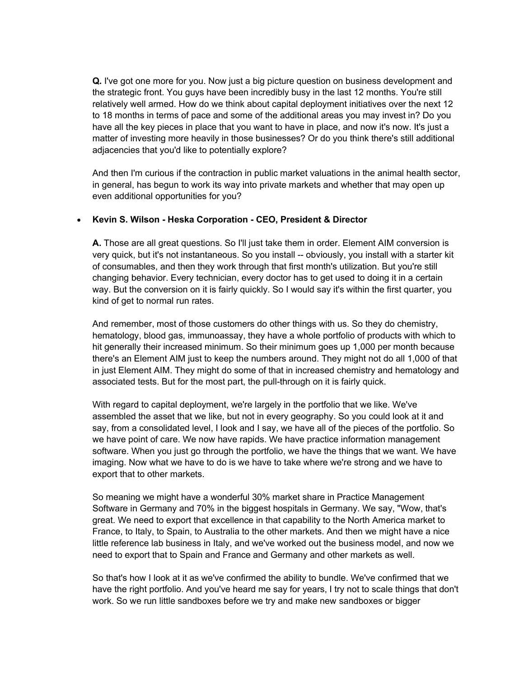Q. I've got one more for you. Now just a big picture question on business development and the strategic front. You guys have been incredibly busy in the last 12 months. You're still relatively well armed. How do we think about capital deployment initiatives over the next 12 to 18 months in terms of pace and some of the additional areas you may invest in? Do you have all the key pieces in place that you want to have in place, and now it's now. It's just a matter of investing more heavily in those businesses? Or do you think there's still additional adjacencies that you'd like to potentially explore?

And then I'm curious if the contraction in public market valuations in the animal health sector, in general, has begun to work its way into private markets and whether that may open up even additional opportunities for you?

#### • Kevin S. Wilson - Heska Corporation - CEO, President & Director

A. Those are all great questions. So I'll just take them in order. Element AIM conversion is very quick, but it's not instantaneous. So you install -- obviously, you install with a starter kit of consumables, and then they work through that first month's utilization. But you're still changing behavior. Every technician, every doctor has to get used to doing it in a certain way. But the conversion on it is fairly quickly. So I would say it's within the first quarter, you kind of get to normal run rates.

And remember, most of those customers do other things with us. So they do chemistry, hematology, blood gas, immunoassay, they have a whole portfolio of products with which to hit generally their increased minimum. So their minimum goes up 1,000 per month because there's an Element AIM just to keep the numbers around. They might not do all 1,000 of that in just Element AIM. They might do some of that in increased chemistry and hematology and associated tests. But for the most part, the pull-through on it is fairly quick.

With regard to capital deployment, we're largely in the portfolio that we like. We've assembled the asset that we like, but not in every geography. So you could look at it and say, from a consolidated level, I look and I say, we have all of the pieces of the portfolio. So we have point of care. We now have rapids. We have practice information management software. When you just go through the portfolio, we have the things that we want. We have imaging. Now what we have to do is we have to take where we're strong and we have to export that to other markets.

So meaning we might have a wonderful 30% market share in Practice Management Software in Germany and 70% in the biggest hospitals in Germany. We say, "Wow, that's great. We need to export that excellence in that capability to the North America market to France, to Italy, to Spain, to Australia to the other markets. And then we might have a nice little reference lab business in Italy, and we've worked out the business model, and now we need to export that to Spain and France and Germany and other markets as well.

So that's how I look at it as we've confirmed the ability to bundle. We've confirmed that we have the right portfolio. And you've heard me say for years, I try not to scale things that don't work. So we run little sandboxes before we try and make new sandboxes or bigger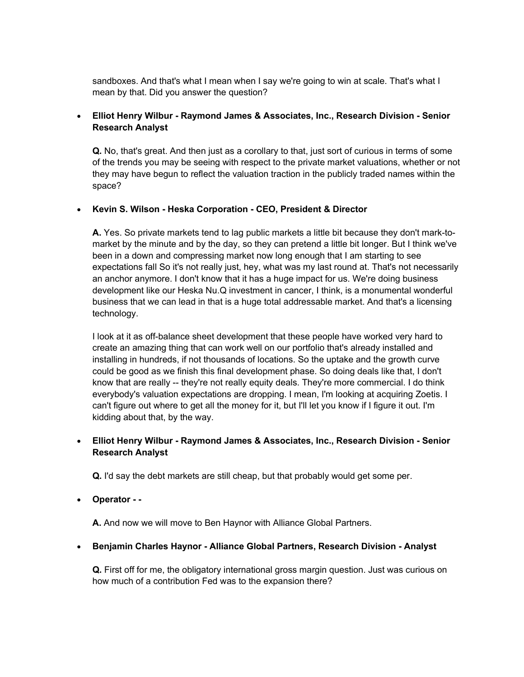sandboxes. And that's what I mean when I say we're going to win at scale. That's what I mean by that. Did you answer the question?

## Elliot Henry Wilbur - Raymond James & Associates, Inc., Research Division - Senior Research Analyst

Q. No, that's great. And then just as a corollary to that, just sort of curious in terms of some of the trends you may be seeing with respect to the private market valuations, whether or not they may have begun to reflect the valuation traction in the publicly traded names within the space?

#### • Kevin S. Wilson - Heska Corporation - CEO, President & Director

A. Yes. So private markets tend to lag public markets a little bit because they don't mark-tomarket by the minute and by the day, so they can pretend a little bit longer. But I think we've been in a down and compressing market now long enough that I am starting to see expectations fall So it's not really just, hey, what was my last round at. That's not necessarily an anchor anymore. I don't know that it has a huge impact for us. We're doing business development like our Heska Nu.Q investment in cancer, I think, is a monumental wonderful business that we can lead in that is a huge total addressable market. And that's a licensing technology.

I look at it as off-balance sheet development that these people have worked very hard to create an amazing thing that can work well on our portfolio that's already installed and installing in hundreds, if not thousands of locations. So the uptake and the growth curve could be good as we finish this final development phase. So doing deals like that, I don't know that are really -- they're not really equity deals. They're more commercial. I do think everybody's valuation expectations are dropping. I mean, I'm looking at acquiring Zoetis. I can't figure out where to get all the money for it, but I'll let you know if I figure it out. I'm kidding about that, by the way.

## Elliot Henry Wilbur - Raymond James & Associates, Inc., Research Division - Senior Research Analyst

Q. I'd say the debt markets are still cheap, but that probably would get some per.

Operator - -

A. And now we will move to Ben Haynor with Alliance Global Partners.

#### Benjamin Charles Haynor - Alliance Global Partners, Research Division - Analyst

Q. First off for me, the obligatory international gross margin question. Just was curious on how much of a contribution Fed was to the expansion there?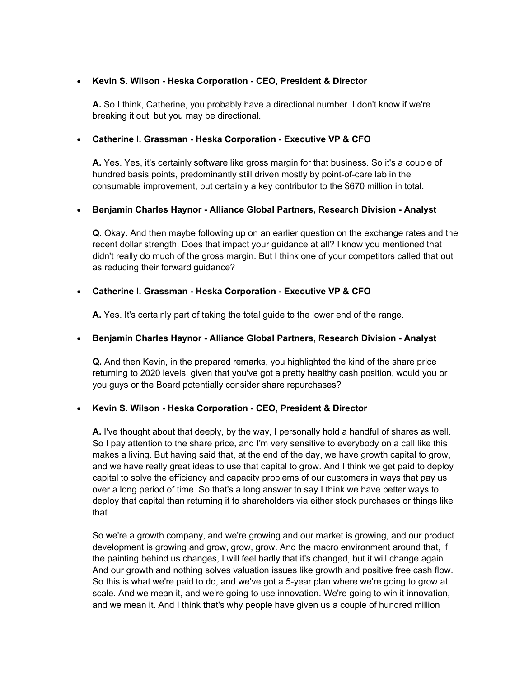#### Kevin S. Wilson - Heska Corporation - CEO, President & Director

A. So I think, Catherine, you probably have a directional number. I don't know if we're breaking it out, but you may be directional.

#### Catherine I. Grassman - Heska Corporation - Executive VP & CFO

A. Yes. Yes, it's certainly software like gross margin for that business. So it's a couple of hundred basis points, predominantly still driven mostly by point-of-care lab in the consumable improvement, but certainly a key contributor to the \$670 million in total.

#### Benjamin Charles Haynor - Alliance Global Partners, Research Division - Analyst

Q. Okay. And then maybe following up on an earlier question on the exchange rates and the recent dollar strength. Does that impact your guidance at all? I know you mentioned that didn't really do much of the gross margin. But I think one of your competitors called that out as reducing their forward guidance?

#### Catherine I. Grassman - Heska Corporation - Executive VP & CFO

A. Yes. It's certainly part of taking the total guide to the lower end of the range.

#### Benjamin Charles Haynor - Alliance Global Partners, Research Division - Analyst

Q. And then Kevin, in the prepared remarks, you highlighted the kind of the share price returning to 2020 levels, given that you've got a pretty healthy cash position, would you or you guys or the Board potentially consider share repurchases?

#### Kevin S. Wilson - Heska Corporation - CEO, President & Director

A. I've thought about that deeply, by the way, I personally hold a handful of shares as well. So I pay attention to the share price, and I'm very sensitive to everybody on a call like this makes a living. But having said that, at the end of the day, we have growth capital to grow, and we have really great ideas to use that capital to grow. And I think we get paid to deploy capital to solve the efficiency and capacity problems of our customers in ways that pay us over a long period of time. So that's a long answer to say I think we have better ways to deploy that capital than returning it to shareholders via either stock purchases or things like that.

So we're a growth company, and we're growing and our market is growing, and our product development is growing and grow, grow, grow. And the macro environment around that, if the painting behind us changes, I will feel badly that it's changed, but it will change again. And our growth and nothing solves valuation issues like growth and positive free cash flow. So this is what we're paid to do, and we've got a 5-year plan where we're going to grow at scale. And we mean it, and we're going to use innovation. We're going to win it innovation, and we mean it. And I think that's why people have given us a couple of hundred million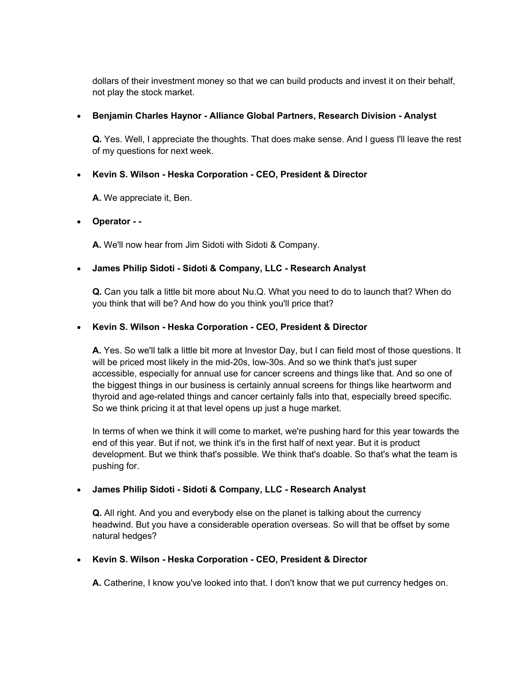dollars of their investment money so that we can build products and invest it on their behalf, not play the stock market.

#### Benjamin Charles Haynor - Alliance Global Partners, Research Division - Analyst

Q. Yes. Well, I appreciate the thoughts. That does make sense. And I guess I'll leave the rest of my questions for next week.

## Kevin S. Wilson - Heska Corporation - CEO, President & Director

A. We appreciate it, Ben.

#### Operator - -

A. We'll now hear from Jim Sidoti with Sidoti & Company.

## James Philip Sidoti - Sidoti & Company, LLC - Research Analyst

Q. Can you talk a little bit more about Nu.Q. What you need to do to launch that? When do you think that will be? And how do you think you'll price that?

## • Kevin S. Wilson - Heska Corporation - CEO, President & Director

A. Yes. So we'll talk a little bit more at Investor Day, but I can field most of those questions. It will be priced most likely in the mid-20s, low-30s. And so we think that's just super accessible, especially for annual use for cancer screens and things like that. And so one of the biggest things in our business is certainly annual screens for things like heartworm and thyroid and age-related things and cancer certainly falls into that, especially breed specific. So we think pricing it at that level opens up just a huge market.

In terms of when we think it will come to market, we're pushing hard for this year towards the end of this year. But if not, we think it's in the first half of next year. But it is product development. But we think that's possible. We think that's doable. So that's what the team is pushing for.

## James Philip Sidoti - Sidoti & Company, LLC - Research Analyst

Q. All right. And you and everybody else on the planet is talking about the currency headwind. But you have a considerable operation overseas. So will that be offset by some natural hedges?

## Kevin S. Wilson - Heska Corporation - CEO, President & Director

A. Catherine, I know you've looked into that. I don't know that we put currency hedges on.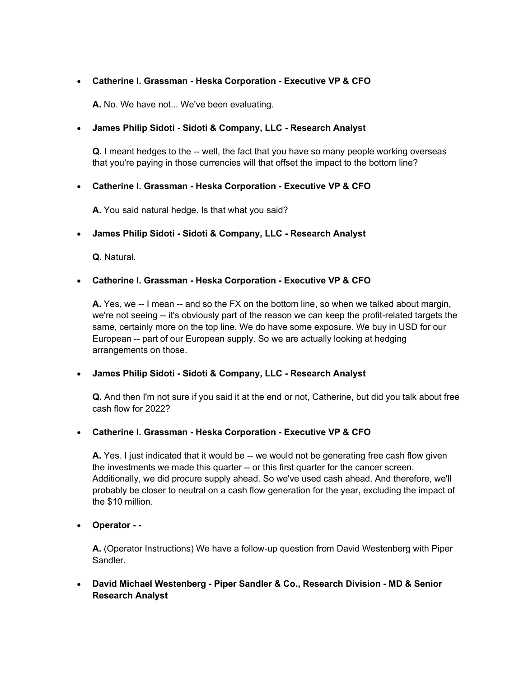#### Catherine I. Grassman - Heska Corporation - Executive VP & CFO

A. No. We have not... We've been evaluating.

#### James Philip Sidoti - Sidoti & Company, LLC - Research Analyst

Q. I meant hedges to the -- well, the fact that you have so many people working overseas that you're paying in those currencies will that offset the impact to the bottom line?

#### Catherine I. Grassman - Heska Corporation - Executive VP & CFO

A. You said natural hedge. Is that what you said?

#### James Philip Sidoti - Sidoti & Company, LLC - Research Analyst

Q. Natural.

#### Catherine I. Grassman - Heska Corporation - Executive VP & CFO

A. Yes, we -- I mean -- and so the FX on the bottom line, so when we talked about margin, we're not seeing -- it's obviously part of the reason we can keep the profit-related targets the same, certainly more on the top line. We do have some exposure. We buy in USD for our European -- part of our European supply. So we are actually looking at hedging arrangements on those.

#### James Philip Sidoti - Sidoti & Company, LLC - Research Analyst

Q. And then I'm not sure if you said it at the end or not, Catherine, but did you talk about free cash flow for 2022?

#### Catherine I. Grassman - Heska Corporation - Executive VP & CFO

A. Yes. I just indicated that it would be -- we would not be generating free cash flow given the investments we made this quarter -- or this first quarter for the cancer screen. Additionally, we did procure supply ahead. So we've used cash ahead. And therefore, we'll probably be closer to neutral on a cash flow generation for the year, excluding the impact of the \$10 million.

#### Operator - -

A. (Operator Instructions) We have a follow-up question from David Westenberg with Piper Sandler.

 David Michael Westenberg - Piper Sandler & Co., Research Division - MD & Senior Research Analyst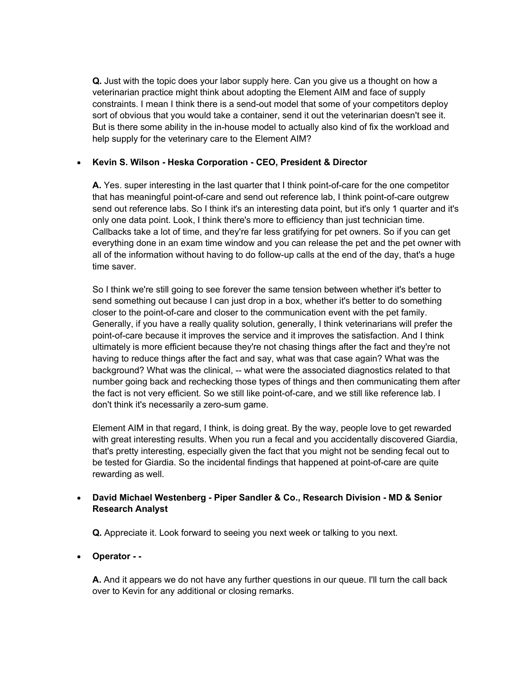Q. Just with the topic does your labor supply here. Can you give us a thought on how a veterinarian practice might think about adopting the Element AIM and face of supply constraints. I mean I think there is a send-out model that some of your competitors deploy sort of obvious that you would take a container, send it out the veterinarian doesn't see it. But is there some ability in the in-house model to actually also kind of fix the workload and help supply for the veterinary care to the Element AIM?

## • Kevin S. Wilson - Heska Corporation - CEO, President & Director

A. Yes. super interesting in the last quarter that I think point-of-care for the one competitor that has meaningful point-of-care and send out reference lab, I think point-of-care outgrew send out reference labs. So I think it's an interesting data point, but it's only 1 quarter and it's only one data point. Look, I think there's more to efficiency than just technician time. Callbacks take a lot of time, and they're far less gratifying for pet owners. So if you can get everything done in an exam time window and you can release the pet and the pet owner with all of the information without having to do follow-up calls at the end of the day, that's a huge time saver.

So I think we're still going to see forever the same tension between whether it's better to send something out because I can just drop in a box, whether it's better to do something closer to the point-of-care and closer to the communication event with the pet family. Generally, if you have a really quality solution, generally, I think veterinarians will prefer the point-of-care because it improves the service and it improves the satisfaction. And I think ultimately is more efficient because they're not chasing things after the fact and they're not having to reduce things after the fact and say, what was that case again? What was the background? What was the clinical, -- what were the associated diagnostics related to that number going back and rechecking those types of things and then communicating them after the fact is not very efficient. So we still like point-of-care, and we still like reference lab. I don't think it's necessarily a zero-sum game.

Element AIM in that regard, I think, is doing great. By the way, people love to get rewarded with great interesting results. When you run a fecal and you accidentally discovered Giardia, that's pretty interesting, especially given the fact that you might not be sending fecal out to be tested for Giardia. So the incidental findings that happened at point-of-care are quite rewarding as well.

## David Michael Westenberg - Piper Sandler & Co., Research Division - MD & Senior Research Analyst

Q. Appreciate it. Look forward to seeing you next week or talking to you next.

## Operator - -

A. And it appears we do not have any further questions in our queue. I'll turn the call back over to Kevin for any additional or closing remarks.